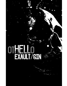# **EXAULT/SIN**

ා®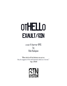## OTHELLO EXAULT/SIN

a sci-fi horror RPG by Rob Kalajian

"When devils will the blackest sins put on, they do suggest at first with heavenly shows as i do now." -Iago, Othello

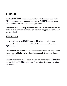#### The Exaulted

Something **MIRACULOUS** happened. No one knows how or why, but Humanity was granted a GIFT. Among the stars, with little hope left for our kind, the **EXAULTED** came to be. Humans with extraordinary powers that manifested seemingly at random.

We prospered with newfound energy and determination we hadn't known for centuries. We spread farther across the vastness of space, expanding at an ever-increasing pace. Nothing stood in our way. Not until SIN.

#### **THOSE WHO SIN**

Just as suddenly as those with  $EXAMPLE 7$  came to be,  $SIN$  arrived to put us in check. First observed on the orbital research station  $\mathsf{OTHELLO\;VII}$  it was only seen in those with an EXAULT at first.

It was too much to hope that the station could contain the menace. Shortly after being discovered, it spread through  $OTHELLO VIII$  like a plague. Those consumed by it were forever changed, twisted, and dark.

With untold horrors now loose in our universe, it is up to us to contain them: the **EXAULTED**, and everyone else. We can't let  $\bf{SIN}$  leave the station. We need to know where it came from and how we can defeat it.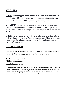#### **ABOUT OTHELLO**

OTHELLO is a role-playing game that places players aboard a secret research station that has been infected with **SIN**, a deadly force of unknown origin and power. Each player will create a character with a profession and  $EXAMPLE 7$ , a power beyond an average mortal.

To play OTHELLO, you'll need a stack of 2-sided tokens. Coins will do, but a particular type of token with black on one side and white on the other works best. You'll need a **Doyen**, or storyteller, and one of more players. Other than that, you'll need a piece of paper for your character and this booklet.

OTHELLO, at its core, is a narrative game. It is also just that, a game. The most important thing is to always make sure you're having fun. Please make sure to use proper RPG safety tools to ensure the maximum comfort and enjoyment of everyone involved. For more information check out http://bit.ly/ttrpgsafetytoolkit.

#### **CREATING A CHARACTER**

Characters in  $\text{OTHELLO}$  have three core stats, an  $\text{EXAULT}$ , and a Profession. Optionally, they may take a  $SIN$  to increase one of your core stats. These stats are as follows:

BODY: Fortitude and physical activity **MIND:** Intelligence and mental feats SOUL: Resilience and recovery

Each player starts with six tokens to assign. Half, rounded up, should be set to white on each stat, while the rest are set to black. Stats may not start at more than three tokens, and must have at least one token. As the game progresses, no stat can increase past five. Players then fill in the dots on their character sheet to match how many tokens they assigned to each stat.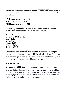After assigning stats, each player should then choose an **EXAULT**. EXAULT are abilities that go beyond human limits. These will allow players to achieve success in areas they may not have been able to before.

HALO: Physical magic aligned with BODY PSY: Mental magic aligned with MIND ETHOS: Inherent magic aligned with SOUL

Last, every player should choose a Profession for their character. Professions are more of a narrative choice to pin down further what a character's skill set involves.

Navigator (Space Travel) Scientist (THE POWER OF SCIENCE) Solider (Combat) Engineer (Repair) Merchant (Trade) Entertainer (Performance) Test Subject (EXAULT)

Optionally, a player may also take a  $SIN$  and increase one of their stats by one, ignoring the starting restriction of three max. A character with  $SIN$  is both frighteningly powerful and cursed to the existence of spiraling in madness and despair.  $SIN$  can manifest itself in many ways, and it is up to the **Doyen** to decide how a player's SIN affects their everyday life.

#### PLAYING THE GAME

The **Doyen's** job in OTHELLO is to tell a story and place the players in different, sometimes dangerous, situations. The players will perform actions to varying degrees of success or failure using their stat tokens to get through these situations. Up to three tokens may be used per action, each getting flipped to its opposite side once used. White tokens are for success. Black tokens are for failure. How many tokens flip will determine the outcome.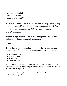1 token: Success/Failure, BUT 2 tokens: Success/Failure 3 tokens: Success/Failure, AND

The keywords  $BUT$  and  $AND$  modify the resolution of an action.  $BUT$  changes an action by saying, "You succeeded/failed,  $B\!U\!I$  the an opposite of the desired outcome also happened."  $\mathsf{AND}$  varies an action by saying, "You succeeded/failed,  $AND$  an extra something in line with the success/failure happened."

Sometimes the **Doyen** may require a contested check. Both the player and **Doyen** flip tokens, with the higher amount of successes winning. A tie creates a standoff.

#### **COMBAT**

There may be times when a physical confrontation may be in order. Players may spend their actions, as usual to inflict wounds upon an opponent via successes. Failures count as a miss.

BUT: No wound/Miss + effect Normal Success: 1 wound Normal Failure: Miss AND: 1 wound/MIss + effect

Players take wounds as failures to one of their stats, thus temporarily reducing the amount of tokens they have to use for that stat. If any stat is reduced to zero, it is corrupted. If all stats are reduced to zero, the player dies.

Combat initiative is decided by the amount tokens each player, and the **Doyen**, have success side up. Ties are decided by the **Doyen**.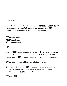#### **CORRUPTION**

If any stat's value reach zero, then that stat has become **CORRUPTED**. A **CORRUPTED** stat's tokens always count as "Failure AND" and the stat must be cleansed through EXAULT or relevant treatment. Once cleansed the stat returns to having one success.

BODY **Cleanse**: Hospital MIND **Cleanse**: Psychic SOUL **Cleanse**: Meditation

#### EXAULT

A player's **EXAULT** can manifest in many different ways. HALO generally displays just like it sounds, as a halo surrounds the character's head or body. PSY allows its wielder telekinetic or telepathic powers. ETHOS wildly varies based on the user's personality and individual character.

EXAULT **i**s also the origin of SIN, corrupting its host slowly over time.

A player may use their character's  $EXAMPLEI$  to gain a success in an stat where they otherwise might not have. Doing so starts to corrupt an opposing stat. Mechanically this works by flipping one white token from an EXAULT**'s** opposing stat as outlined below.

#### **BODY FROM MIND**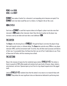#### **MIND FROM SOUL SOUL FROM BODY**

EXAULT also makes it harder for a character's corresponding stat to become corrupted. If an EXAULT stat's last token would flip over to a failure, it is flipped in the air like a coin.

#### **SIN LEVELS**

Each time an  $EXAMPLE$  is used that requires tokens to be flipped, a player must also raise their character's SIN **Level** on their character sheet. Once this level reaches ten the player may increase a stat by one token and must take a new/additional  $\mathbf{SIN}$ .

#### THE DOYEN

The **Doyen** is the directing force in OTHELLO. Through the Doyen's narrative the players forge their path towards victory, or ultimate defeat. The **Doyen** also controls every SINform, non-player character (NPC), and the environment itself. To do this, they will often need successes and failures of their own. To accomplish these, the Doyen has their own set of five 2-sided tokens to use. Three of these start off white, with the remaining two as black.

#### The setting

Deep in the recesses of space lies the residential space station,  $\text{OTHELLO VII}$ . The station is home to upwards of 500 million people and contains level-upon levels of houses, shops, industry, entertainment, and more. Spacescrapers jut out from its ring-shaped megastructure like jagged teeth.

Little do OTHELLO VII residents know that the station's true nature is to research those with EXAULT. Deep below the most significant cities are laboratories dedicated to performing tests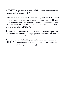on **EXAULTED**, trying to unlock the full potential of **EXAULT** and how to recreate its effects. Unfortunately, what they uncovered is  $SIN$ .

First encountered in the Dehlikyo labs, SIN has spread to every lab in **OTHELLO VII**. Currently, in lock-down, containment is the best plan the board of the station has. Reports of  $S\!I\!N$  in the general populace has started to leak, though, and the conspiracy theories are beginning to spread. It won't be long before there is full-blown panic, and those in the know fear that might lead to complete self-destruction of OTHELLO VII.

The players may be ex-test subjects, station staff, or just everyday people trying to make their way through life. Somehow they've been brought together and confronted with  $SIN$ , the station's bureaucracy, or the typical vices of humankind.

Alone among a population of half a million people, they find themselves even more alone as OTHELLO VII is removed from the rest of humanity in the greater universe. There's no help coming, and the station is ready to be consumed by  $\mathbf{SIN}$ .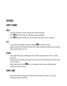#### APPENDIX

#### SAMPLE EXAULT

#### HALO

- A glow surrounds your hands, infusing your strikes with power.
- Your **HALO** extends around you, blocking incoming projectiles.
- Your **HALO** spreads beneath your fee and boosts your leap to cross a large gap.

#### **PSY**

- You can hear her thoughts, dark and brooding.  $SIN$  has taken root in her.
- Gingerly you lift the cred grain from the teller, quickly scanning its balance to your account before gently setting it to rest.

#### **FTHOS**

- Your anger burns bright, unleashing a wave of flames and concussive force in a radius around you.
- Steadying your breathing and clearing your mind, you're able to cleanse your friend's mind of its corruption.
- Under heavy attack from a  $SIN$  form, you manage to clear away an infested wound, regaining one success token.

#### SAMPLE SIN

• Your heart has been replaced by a sentient mass that keeps you alive, yet is slowly consuming you from the inside.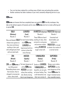- Your arm has been replaced by a writhing mass of black vines and pulsing blue pustules.
- Another sentience has taken residence in your mind, constantly whispering horrors to you.

#### SIN**forms**

SIN**forms** are humans that have completely been corrupted by SIN. Horribly misshapen, they take on the darkest aspects of humanity and its vices. SIN**forms** only live to create suffering and to spread **SIN**.

| <b>GULA</b>                                   | LUXURIA                   |                          | <b>AVARITIA (Avarice) TRISTITIA (Sorrow)</b> |
|-----------------------------------------------|---------------------------|--------------------------|----------------------------------------------|
| (Gluttony)                                    | (Lust)                    | Wounds: 4                | Wounds: 1                                    |
| Wounds: 5                                     | Wounds 3                  | These SINforms hoard     | <b>Emaciated and</b>                         |
| Slow and bloated, GULA The most human looking |                           | anything of value, often | downtrodden, just                            |
| release toxic gasses as                       | of all <b>SINforms</b> .  | armored in cred grains   | looking at a                                 |
| they move and devour                          | <b>LUXURIA</b> are        | and precious metals,     | <b>TRISTITIA</b> is enough                   |
| anything in their path                        | hypersexual and lure      | making <b>AVARITIA</b>   | to shatter the resolve of                    |
| with unhinged jaws lined                      | victims to them like      | tough to deal with.      | a normal mortal.                             |
| with serrated teeth.                          | venus flytraps.           |                          |                                              |
| <b>IRA</b>                                    | <b>ACEDIA</b>             | <b>VANAGLORIA</b>        | <b>SUPERBIA</b>                              |
|                                               |                           |                          |                                              |
| (Wrath)                                       | (Apathy)                  | (Vanity)                 | (Pride)                                      |
| Wounds: 8                                     | Wounds: 1                 | Wounds: 8                | Wounds: 10                                   |
| <b>IRA</b> are <b>SINforms</b> of             | The least dangerous of    | Similar to LUXURIA.      | Beings a pure malice,                        |
| raw killing power.                            | all the <b>SINforms</b> . | <b>VANAGLORIA</b> are    | <b>SUPERBIA</b> are the                      |
| <b>Resembling beasts more</b>                 | <b>ACEDIA</b> , are more  | beautiful, yet not quite | most dangerous of the                        |
| than humans, they've                          | refuse than anything      | as human looking. They   | known <b>SINforms</b> . No                   |
| changed to incorporate<br>claws, sharp teeth, | else. Barely moving,      | craft themselves into    | longer remotely human,                       |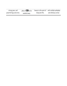| strong jaws, and        | piles of <b>SIN</b> to be |                 | beauty to the point of with multiple pedipalps |
|-------------------------|---------------------------|-----------------|------------------------------------------------|
| powerful legs and arms. | washed away.              | being horrific. | and chitinous armor.                           |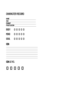#### **CHARACTER RECORD**

NAME AGE<sup></sup> **EXAULT PROFESSION** 

**BODY 00000** 

- MIND 00000
- SOUL 00000

#### **SIN**

**SIN LEVEL**